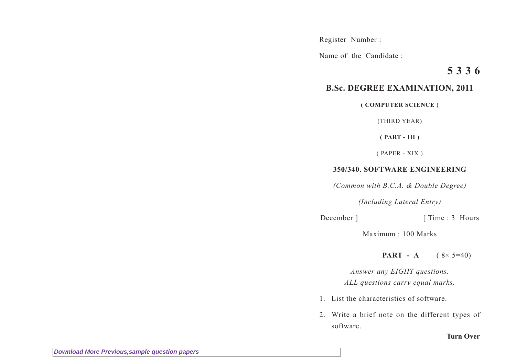Register Number :

Name of the Candidate :

## **5 3 3 6**

## **B.Sc. DEGREE EXAMINATION, 2011**

**( COMPUTER SCIENCE )**

(THIRD YEAR)

**( PART - III )**

( PAPER - XIX )

## **350/340. SOFTWARE ENGINEERING**

*(Common with B.C.A. & Double Degree)*

*(Including Lateral Entry)*

December ] [ Time : 3 Hours

Maximum : 100 Marks

**PART** - A ( $8 \times 5=40$ )

*Answer any EIGHT questions. ALL questions carry equal marks.*

- 1. List the characteristics of software.
- 2. Write a brief note on the different types of software.

**Turn Over**